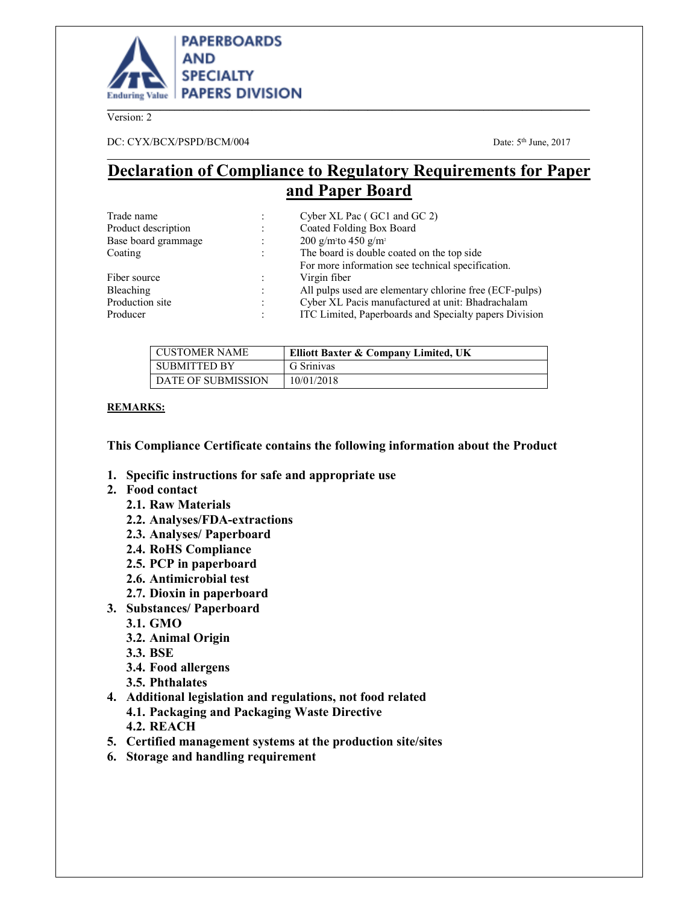

Version: 2

DC: CYX/BCX/PSPD/BCM/004 Date: 5th June, 2017

# **Declaration of Compliance to Regulatory Requirements for Paper and Paper Board**

\_\_\_\_\_\_\_\_\_\_\_\_\_\_\_\_\_\_\_\_\_\_\_\_\_\_\_\_\_\_\_\_\_\_\_\_\_\_\_\_\_\_\_\_\_\_\_\_\_\_\_\_\_\_\_\_\_\_\_\_\_\_\_\_\_\_\_\_\_\_\_\_\_\_\_\_\_\_\_\_\_\_\_\_\_\_\_\_\_\_

| Trade name          |                      | Cyber XL Pac (GC1 and GC 2)                             |  |
|---------------------|----------------------|---------------------------------------------------------|--|
| Product description | $\ddot{\cdot}$       | Coated Folding Box Board                                |  |
| Base board grammage | $\vdots$             | 200 g/m <sup>2</sup> to 450 g/m <sup>2</sup>            |  |
| Coating             | $\ddot{\phantom{a}}$ | The board is double coated on the top side              |  |
|                     |                      | For more information see technical specification.       |  |
| Fiber source        |                      | Virgin fiber                                            |  |
| Bleaching           | $\vdots$             | All pulps used are elementary chlorine free (ECF-pulps) |  |
| Production site     | $\bullet$            | Cyber XL Pacis manufactured at unit: Bhadrachalam       |  |
| Producer            | $\bullet$            | ITC Limited, Paperboards and Specialty papers Division  |  |

| <b>CUSTOMER NAME</b>      | Elliott Baxter & Company Limited, UK |
|---------------------------|--------------------------------------|
| <b>SUBMITTED BY</b>       | G Srinivas                           |
| <b>DATE OF SUBMISSION</b> | 10/01/2018                           |

# **REMARKS:**

# **This Compliance Certificate contains the following information about the Product**

- **1. Specific instructions for safe and appropriate use**
- **2. Food contact** 
	- **2.1. Raw Materials**
	- **2.2. Analyses/FDA-extractions**
	- **2.3. Analyses/ Paperboard**
	- **2.4. RoHS Compliance**
	- **2.5. PCP in paperboard**
	- **2.6. Antimicrobial test**
	- **2.7. Dioxin in paperboard**
- **3. Substances/ Paperboard** 
	- **3.1. GMO**
	- **3.2. Animal Origin**
	- **3.3. BSE**
	- **3.4. Food allergens**
	- **3.5. Phthalates**
- **4. Additional legislation and regulations, not food related 4.1. Packaging and Packaging Waste Directive 4.2. REACH**
- **5. Certified management systems at the production site/sites**
- **6. Storage and handling requirement**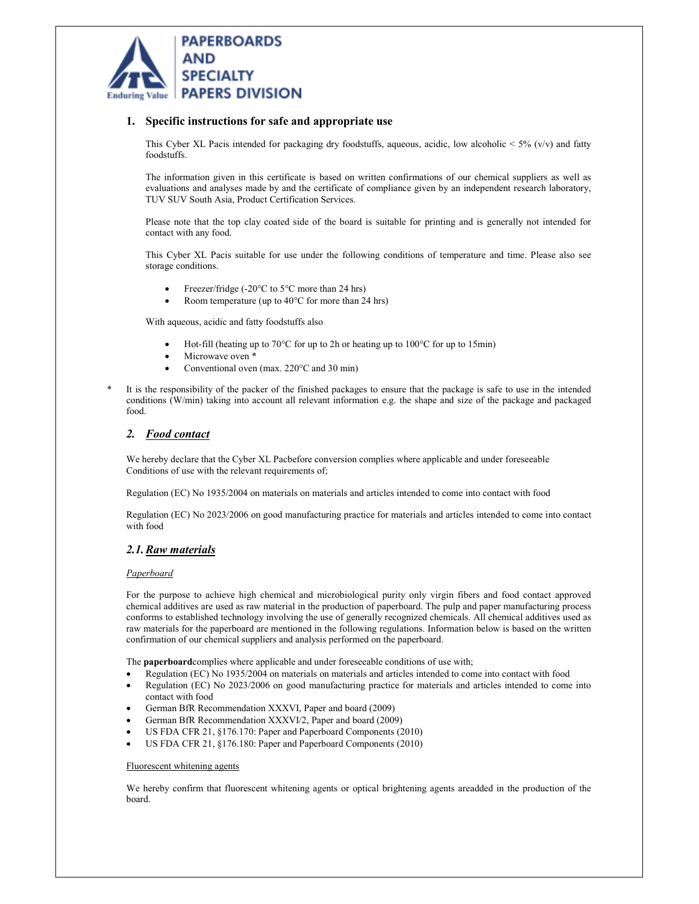

## **1. Specific instructions for safe and appropriate use**

This Cyber XL Pacis intended for packaging dry foodstuffs, aqueous, acidic, low alcoholic  $< 5\%$  (v/v) and fatty foodstuffs.

The information given in this certificate is based on written confirmations of our chemical suppliers as well as evaluations and analyses made by and the certificate of compliance given by an independent research laboratory, TUV SUV South Asia, Product Certification Services.

Please note that the top clay coated side of the board is suitable for printing and is generally not intended for contact with any food.

This Cyber XL Pacis suitable for use under the following conditions of temperature and time. Please also see storage conditions.

- Freezer/fridge (-20°C to 5°C more than 24 hrs)
- Room temperature (up to  $40^{\circ}$ C for more than 24 hrs)

With aqueous, acidic and fatty foodstuffs also

- Hot-fill (heating up to 70°C for up to 2h or heating up to 100°C for up to 15min)
- Microwave oven \*
- Conventional oven (max. 220°C and 30 min)
- It is the responsibility of the packer of the finished packages to ensure that the package is safe to use in the intended conditions (W/min) taking into account all relevant information e.g. the shape and size of the package and packaged food.

#### *2. Food contact*

We hereby declare that the Cyber XL Pacbefore conversion complies where applicable and under foreseeable Conditions of use with the relevant requirements of;

Regulation (EC) No 1935/2004 on materials on materials and articles intended to come into contact with food

Regulation (EC) No 2023/2006 on good manufacturing practice for materials and articles intended to come into contact with food

#### *2.1.Raw materials*

#### *Paperboard*

For the purpose to achieve high chemical and microbiological purity only virgin fibers and food contact approved chemical additives are used as raw material in the production of paperboard. The pulp and paper manufacturing process conforms to established technology involving the use of generally recognized chemicals. All chemical additives used as raw materials for the paperboard are mentioned in the following regulations. Information below is based on the written confirmation of our chemical suppliers and analysis performed on the paperboard.

The **paperboard**complies where applicable and under foreseeable conditions of use with;

- Regulation (EC) No 1935/2004 on materials on materials and articles intended to come into contact with food
- Regulation (EC) No 2023/2006 on good manufacturing practice for materials and articles intended to come into contact with food
- German BfR Recommendation XXXVI, Paper and board (2009)
- German BfR Recommendation XXXVI/2, Paper and board (2009)
- US FDA CFR 21, §176.170: Paper and Paperboard Components (2010)
- US FDA CFR 21, §176.180: Paper and Paperboard Components (2010)

#### Fluorescent whitening agents

We hereby confirm that fluorescent whitening agents or optical brightening agents areadded in the production of the board.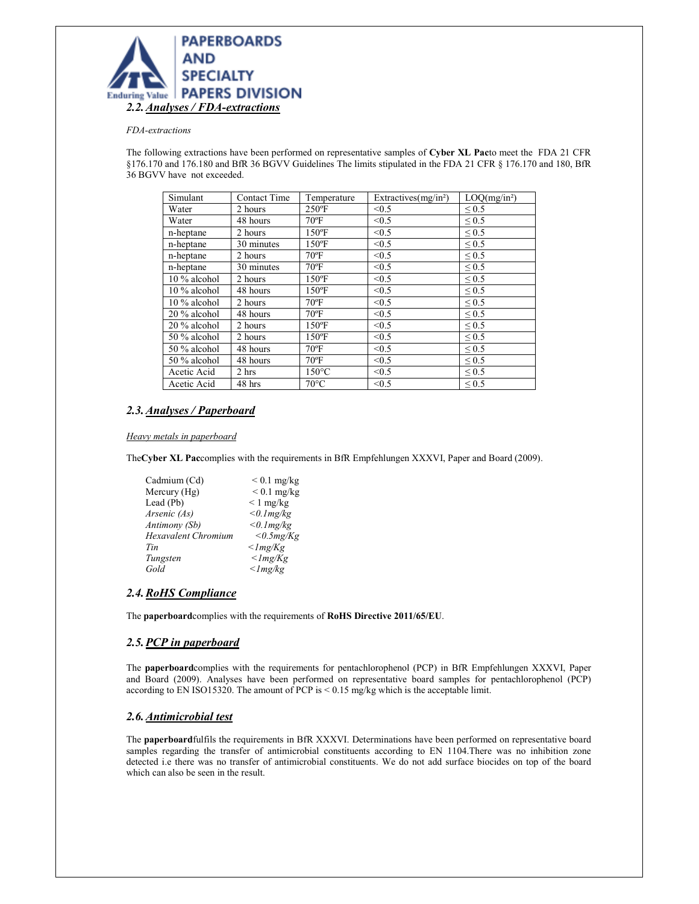

#### *FDA-extractions*

The following extractions have been performed on representative samples of **Cyber XL Pac**to meet the FDA 21 CFR §176.170 and 176.180 and BfR 36 BGVV Guidelines The limits stipulated in the FDA 21 CFR § 176.170 and 180, BfR 36 BGVV have not exceeded.

| Simulant     | <b>Contact Time</b> | Temperature     | Extractives $(mg/in2)$ | LOQ(mg/in <sup>2</sup> ) |
|--------------|---------------------|-----------------|------------------------|--------------------------|
| Water        | 2 hours             | $250^{\circ}$ F | < 0.5                  | $\leq 0.5$               |
| Water        | 48 hours            | $70^{\circ}$ F  | < 0.5                  | $\leq 0.5$               |
| n-heptane    | 2 hours             | $150^{\circ}$ F | < 0.5                  | $\leq 0.5$               |
| n-heptane    | 30 minutes          | $150^{\circ}$ F | < 0.5                  | ${}_{0.5}$               |
| n-heptane    | 2 hours             | $70^{\circ}$ F  | < 0.5                  | $\leq 0.5$               |
| n-heptane    | 30 minutes          | $70^{\circ}$ F  | < 0.5                  | $\leq 0.5$               |
| 10 % alcohol | 2 hours             | $150^{\circ}$ F | < 0.5                  | $\leq 0.5$               |
| 10 % alcohol | 48 hours            | $150$ °F        | < 0.5                  | $\leq 0.5$               |
| 10 % alcohol | 2 hours             | $70^{\circ}$ F  | < 0.5                  | $\leq 0.5$               |
| 20 % alcohol | 48 hours            | $70^{\circ}$ F  | < 0.5                  | ${}_{0.5}$               |
| 20 % alcohol | 2 hours             | $150^{\circ}$ F | < 0.5                  | $\leq 0.5$               |
| 50 % alcohol | 2 hours             | $150^{\circ}$ F | < 0.5                  | $\leq 0.5$               |
| 50 % alcohol | 48 hours            | $70^{\circ}$ F  | < 0.5                  | $\leq 0.5$               |
| 50 % alcohol | 48 hours            | $70^{\circ}$ F  | < 0.5                  | $\leq 0.5$               |
| Acetic Acid  | 2 hrs               | $150^{\circ}$ C | < 0.5                  | $\leq 0.5$               |
| Acetic Acid  | 48 hrs              | $70^{\circ}$ C  | < 0.5                  | $\leq 0.5$               |

## *2.3.Analyses / Paperboard*

#### *Heavy metals in paperboard*

The**Cyber XL Pac**complies with the requirements in BfR Empfehlungen XXXVI, Paper and Board (2009).

| Cadmium (Cd)               | $< 0.1$ mg/kg         |
|----------------------------|-----------------------|
| Mercury (Hg)               | $< 0.1$ mg/kg         |
| Lead (Pb)                  | $\leq 1$ mg/kg        |
| Arsenic (As)               | $<$ 0.1 $mg/kg$       |
| Antimony (Sb)              | $<$ 0.1 $mg/kg$       |
| <b>Hexavalent Chromium</b> | $<$ 0.5 $mg/Kg$       |
| Tin                        | $\langle$ lmg/Kg      |
| Tungsten                   | $<$ <i>lmg</i> / $Kg$ |
| Gold                       | $\langle$ lmg/kg      |
|                            |                       |

# *2.4.RoHS Compliance*

The **paperboard**complies with the requirements of **RoHS Directive 2011/65/EU**.

#### *2.5.PCP in paperboard*

The **paperboard**complies with the requirements for pentachlorophenol (PCP) in BfR Empfehlungen XXXVI, Paper and Board (2009). Analyses have been performed on representative board samples for pentachlorophenol (PCP) according to EN ISO15320. The amount of PCP is < 0.15 mg/kg which is the acceptable limit.

#### *2.6.Antimicrobial test*

The **paperboard**fulfils the requirements in BfR XXXVI. Determinations have been performed on representative board samples regarding the transfer of antimicrobial constituents according to EN 1104.There was no inhibition zone detected i.e there was no transfer of antimicrobial constituents. We do not add surface biocides on top of the board which can also be seen in the result.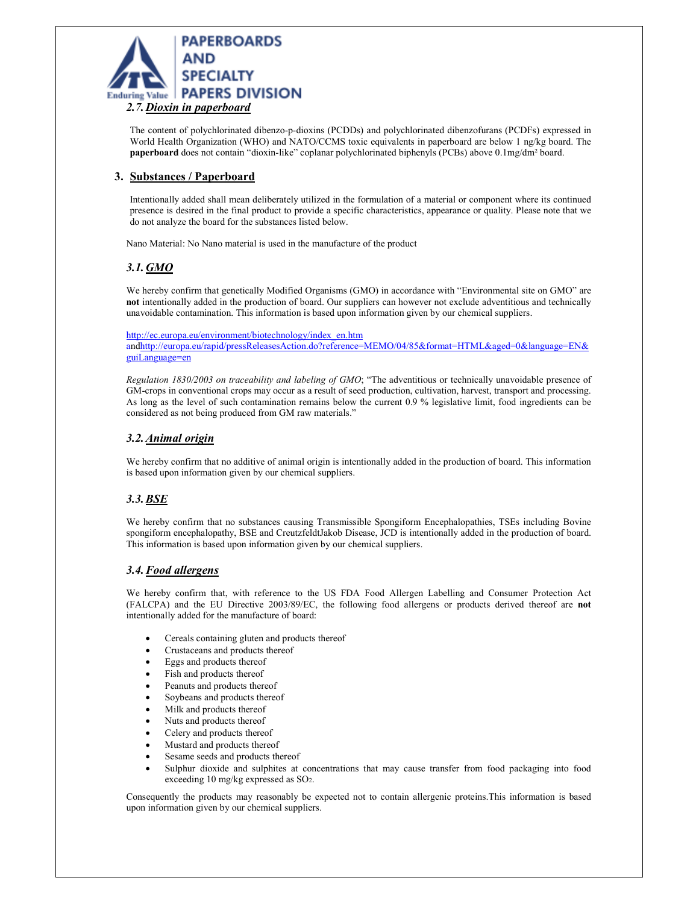

The content of polychlorinated dibenzo-p-dioxins (PCDDs) and polychlorinated dibenzofurans (PCDFs) expressed in World Health Organization (WHO) and NATO/CCMS toxic equivalents in paperboard are below 1 ng/kg board. The **paperboard** does not contain "dioxin-like" coplanar polychlorinated biphenyls (PCBs) above 0.1mg/dm² board.

# **3. Substances / Paperboard**

Intentionally added shall mean deliberately utilized in the formulation of a material or component where its continued presence is desired in the final product to provide a specific characteristics, appearance or quality. Please note that we do not analyze the board for the substances listed below.

Nano Material: No Nano material is used in the manufacture of the product

# *3.1.GMO*

We hereby confirm that genetically Modified Organisms (GMO) in accordance with "Environmental site on GMO" are **not** intentionally added in the production of board. Our suppliers can however not exclude adventitious and technically unavoidable contamination. This information is based upon information given by our chemical suppliers.

http://ec.europa.eu/environment/biotechnology/index\_en.htm andhttp://europa.eu/rapid/pressReleasesAction.do?reference=MEMO/04/85&format=HTML&aged=0&language=EN& guiLanguage=en

*Regulation 1830/2003 on traceability and labeling of GMO*; "The adventitious or technically unavoidable presence of GM-crops in conventional crops may occur as a result of seed production, cultivation, harvest, transport and processing. As long as the level of such contamination remains below the current 0.9 % legislative limit, food ingredients can be considered as not being produced from GM raw materials."

## *3.2.Animal origin*

We hereby confirm that no additive of animal origin is intentionally added in the production of board. This information is based upon information given by our chemical suppliers.

# *3.3.BSE*

We hereby confirm that no substances causing Transmissible Spongiform Encephalopathies, TSEs including Bovine spongiform encephalopathy, BSE and CreutzfeldtJakob Disease, JCD is intentionally added in the production of board. This information is based upon information given by our chemical suppliers.

#### *3.4.Food allergens*

We hereby confirm that, with reference to the US FDA Food Allergen Labelling and Consumer Protection Act (FALCPA) and the EU Directive 2003/89/EC, the following food allergens or products derived thereof are **not** intentionally added for the manufacture of board:

- Cereals containing gluten and products thereof
- Crustaceans and products thereof
- Eggs and products thereof
- Fish and products thereof
- Peanuts and products thereof
- Soybeans and products thereof
- Milk and products thereof
- Nuts and products thereof
- Celery and products thereof
- Mustard and products thereof
- Sesame seeds and products thereof
- Sulphur dioxide and sulphites at concentrations that may cause transfer from food packaging into food exceeding 10 mg/kg expressed as SO2.

Consequently the products may reasonably be expected not to contain allergenic proteins.This information is based upon information given by our chemical suppliers.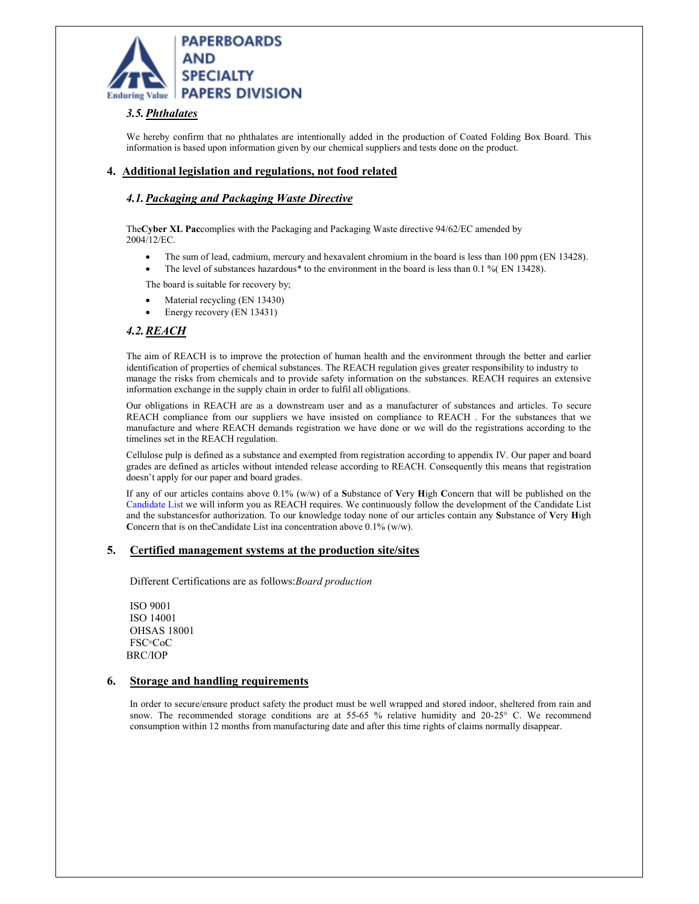

# *3.5.Phthalates*

We hereby confirm that no phthalates are intentionally added in the production of Coated Folding Box Board. This information is based upon information given by our chemical suppliers and tests done on the product.

## **4. Additional legislation and regulations, not food related**

## *4.1.Packaging and Packaging Waste Directive*

The**Cyber XL Pac**complies with the Packaging and Packaging Waste directive 94/62/EC amended by 2004/12/EC.

- The sum of lead, cadmium, mercury and hexavalent chromium in the board is less than 100 ppm (EN 13428).
- The level of substances hazardous\* to the environment in the board is less than 0.1 % (EN 13428).

The board is suitable for recovery by;

- Material recycling (EN 13430)
- Energy recovery (EN 13431)

## *4.2.REACH*

The aim of REACH is to improve the protection of human health and the environment through the better and earlier identification of properties of chemical substances. The REACH regulation gives greater responsibility to industry to manage the risks from chemicals and to provide safety information on the substances. REACH requires an extensive information exchange in the supply chain in order to fulfil all obligations.

Our obligations in REACH are as a downstream user and as a manufacturer of substances and articles. To secure REACH compliance from our suppliers we have insisted on compliance to REACH . For the substances that we manufacture and where REACH demands registration we have done or we will do the registrations according to the timelines set in the REACH regulation.

Cellulose pulp is defined as a substance and exempted from registration according to appendix IV. Our paper and board grades are defined as articles without intended release according to REACH. Consequently this means that registration doesn't apply for our paper and board grades.

If any of our articles contains above 0.1% (w/w) of a **S**ubstance of **V**ery **H**igh **C**oncern that will be published on the Candidate List we will inform you as REACH requires. We continuously follow the development of the Candidate List and the substancesfor authorization. To our knowledge today none of our articles contain any **S**ubstance of **V**ery **H**igh Concern that is on theCandidate List ina concentration above 0.1% (w/w).

#### **5. Certified management systems at the production site/sites**

Different Certifications are as follows:*Board production* 

ISO 9001 ISO 14001 OHSAS 18001 FSC®CoC BRC/IOP

#### **6. Storage and handling requirements**

In order to secure/ensure product safety the product must be well wrapped and stored indoor, sheltered from rain and snow. The recommended storage conditions are at 55-65 % relative humidity and 20-25° C. We recommend consumption within 12 months from manufacturing date and after this time rights of claims normally disappear.